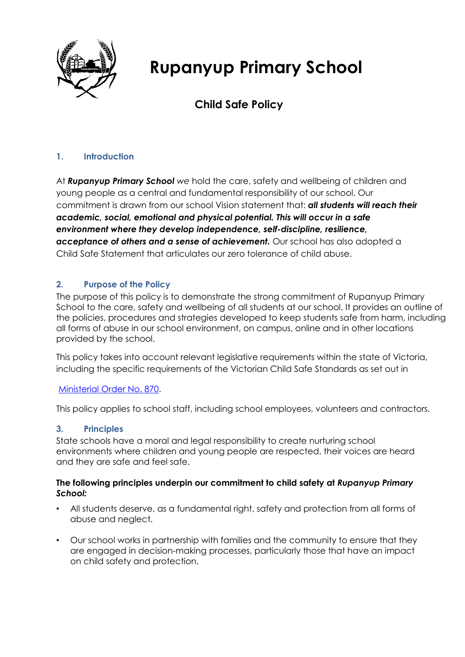

# **Rupanyup Primary School**

# **Child Safe Policy**

# **1. Introduction**

At *Rupanyup Primary School we* hold the care, safety and wellbeing of children and young people as a central and fundamental responsibility of our school. Our commitment is drawn from our school Vision statement that: *all students will reach their academic, social, emotional and physical potential. This will occur in a safe environment where they develop independence, self-discipline, resilience, acceptance of others and a sense of achievement.* Our school has also adopted a Child Safe Statement that articulates our zero tolerance of child abuse.

### **2. Purpose of the Policy**

The purpose of this policy is to demonstrate the strong commitment of Rupanyup Primary School to the care, safety and wellbeing of all students at our school. It provides an outline of the policies, procedures and strategies developed to keep students safe from harm, including all forms of abuse in our school environment, on campus, online and in other locations provided by the school.

This policy takes into account relevant legislative requirements within the state of Victoria, including the specific requirements of the Victorian Child Safe Standards as set out in

#### [Ministerial Order No. 870.](http://www.gazette.vic.gov.au/gazette/Gazettes2016/GG2016S002.pdf)

This policy applies to school staff, including school employees, volunteers and contractors.

#### **3. Principles**

State schools have a moral and legal responsibility to create nurturing school environments where children and young people are respected, their voices are heard and they are safe and feel safe.

#### **The following principles underpin our commitment to child safety at** *Rupanyup Primary School:*

- All students deserve, as a fundamental right, safety and protection from all forms of abuse and neglect.
- Our school works in partnership with families and the community to ensure that they are engaged in decision-making processes, particularly those that have an impact on child safety and protection.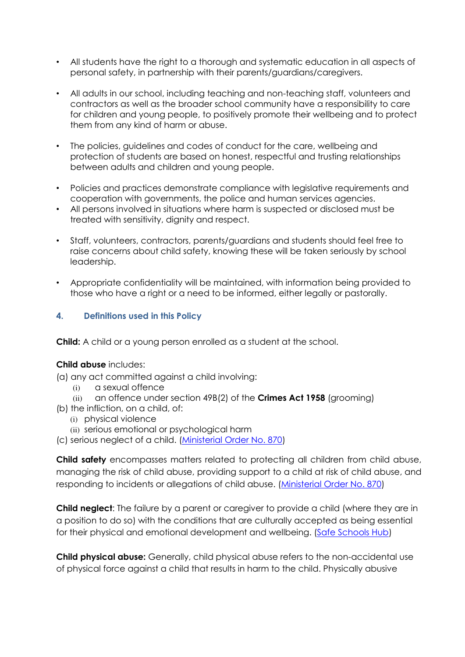- All students have the right to a thorough and systematic education in all aspects of personal safety, in partnership with their parents/guardians/caregivers.
- All adults in our school, including teaching and non-teaching staff, volunteers and contractors as well as the broader school community have a responsibility to care for children and young people, to positively promote their wellbeing and to protect them from any kind of harm or abuse.
- The policies, guidelines and codes of conduct for the care, wellbeing and protection of students are based on honest, respectful and trusting relationships between adults and children and young people.
- Policies and practices demonstrate compliance with legislative requirements and cooperation with governments, the police and human services agencies.
- All persons involved in situations where harm is suspected or disclosed must be treated with sensitivity, dignity and respect.
- Staff, volunteers, contractors, parents/guardians and students should feel free to raise concerns about child safety, knowing these will be taken seriously by school leadership.
- Appropriate confidentiality will be maintained, with information being provided to those who have a right or a need to be informed, either legally or pastorally.

# **4. Definitions used in this Policy**

**Child:** A child or a young person enrolled as a student at the school.

#### **Child abuse** includes:

(a) any act committed against a child involving:

- (i) a sexual offence
- (ii) an offence under section 49B(2) of the **Crimes Act 1958** (grooming)
- (b) the infliction, on a child, of:
	- (i) physical violence
	- (ii) serious emotional or psychological harm
- (c) serious neglect of a child. [\(Ministerial Order No. 870\)](http://www.gazette.vic.gov.au/gazette/Gazettes2016/GG2016S002.pdf)

**Child safety** encompasses matters related to protecting all children from child abuse, managing the risk of child abuse, providing support to a child at risk of child abuse, and responding to incidents or allegations of child abuse. [\(Ministerial Order No. 870\)](http://www.gazette.vic.gov.au/gazette/Gazettes2016/GG2016S002.pdf)

**Child neglect**: The failure by a parent or caregiver to provide a child (where they are in a position to do so) with the conditions that are culturally accepted as being essential for their physical and emotional development and wellbeing. [\(Safe Schools Hub\)](http://safeschoolshub.edu.au/resources-and-help/Glossary)

**Child physical abuse:** Generally, child physical abuse refers to the non-accidental use of physical force against a child that results in harm to the child. Physically abusive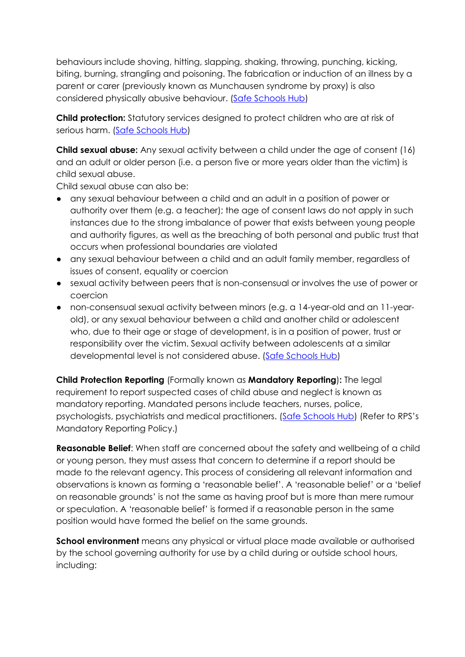behaviours include shoving, hitting, slapping, shaking, throwing, punching, kicking, biting, burning, strangling and poisoning. The fabrication or induction of an illness by a parent or carer (previously known as Munchausen syndrome by proxy) is also considered physically abusive behaviour. [\(Safe Schools Hub\)](http://safeschoolshub.edu.au/resources-and-help/Glossary)

**Child protection:** Statutory services designed to protect children who are at risk of serious harm. [\(Safe Schools Hub\)](http://safeschoolshub.edu.au/resources-and-help/Glossary)

**Child sexual abuse:** Any sexual activity between a child under the age of consent (16) and an adult or older person (i.e. a person five or more years older than the victim) is child sexual abuse.

Child sexual abuse can also be:

- any sexual behaviour between a child and an adult in a position of power or authority over them (e.g. a teacher); the age of consent laws do not apply in such instances due to the strong imbalance of power that exists between young people and authority figures, as well as the breaching of both personal and public trust that occurs when professional boundaries are violated
- any sexual behaviour between a child and an adult family member, regardless of issues of consent, equality or coercion
- sexual activity between peers that is non-consensual or involves the use of power or coercion
- non-consensual sexual activity between minors (e.g. a 14-year-old and an 11-yearold), or any sexual behaviour between a child and another child or adolescent who, due to their age or stage of development, is in a position of power, trust or responsibility over the victim. Sexual activity between adolescents at a similar developmental level is not considered abuse. [\(Safe Schools Hub\)](http://safeschoolshub.edu.au/resources-and-help/Glossary)

**Child Protection Reporting** (Formally known as **Mandatory Reporting**)**:** The legal requirement to report suspected cases of child abuse and neglect is known as mandatory reporting. Mandated persons include teachers, nurses, police, psychologists, psychiatrists and medical practitioners. [\(Safe Schools Hub\)](http://safeschoolshub.edu.au/resources-and-help/Glossary) (Refer to RPS's Mandatory Reporting Policy.)

**Reasonable Belief**: When staff are concerned about the safety and wellbeing of a child or young person, they must assess that concern to determine if a report should be made to the relevant agency. This process of considering all relevant information and observations is known as forming a 'reasonable belief'. A 'reasonable belief' or a 'belief on reasonable grounds' is not the same as having proof but is more than mere rumour or speculation. A 'reasonable belief' is formed if a reasonable person in the same position would have formed the belief on the same grounds.

**School environment** means any physical or virtual place made available or authorised by the school governing authority for use by a child during or outside school hours, including: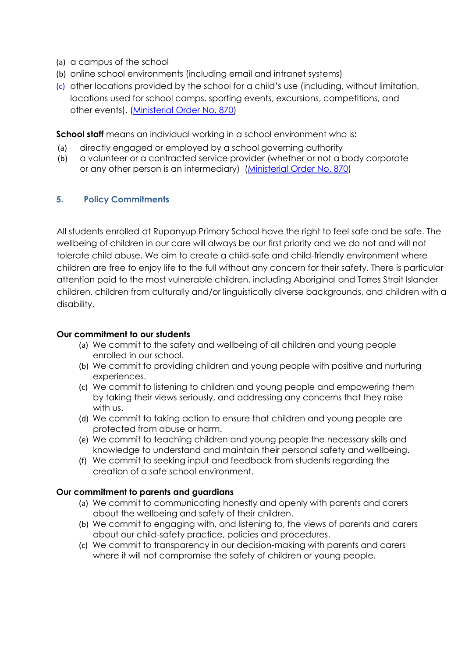- (a) a campus of the school
- (b) online school environments (including email and intranet systems)
- (c) other locations provided by the school for a child's use (including, without limitation, locations used for school camps, sporting events, excursions, competitions, and other events). [\(Ministerial Order No. 870\)](http://www.gazette.vic.gov.au/gazette/Gazettes2016/GG2016S002.pdf)

**School staff** means an individual working in a school environment who is**:**

- (a) directly engaged or employed by a school governing authority
- (b) a volunteer or a contracted service provider (whether or not a body corporate or any other person is an intermediary) [\(Ministerial Order No. 870\)](http://www.gazette.vic.gov.au/gazette/Gazettes2016/GG2016S002.pdf)

#### **5. Policy Commitments**

All students enrolled at Rupanyup Primary School have the right to feel safe and be safe. The wellbeing of children in our care will always be our first priority and we do not and will not tolerate child abuse. We aim to create a child-safe and child-friendly environment where children are free to enjoy life to the full without any concern for their safety. There is particular attention paid to the most vulnerable children, including Aboriginal and Torres Strait Islander children, children from culturally and/or linguistically diverse backgrounds, and children with a disability.

#### **Our commitment to our students**

- (a) We commit to the safety and wellbeing of all children and young people enrolled in our school.
- (b) We commit to providing children and young people with positive and nurturing experiences.
- (c) We commit to listening to children and young people and empowering them by taking their views seriously, and addressing any concerns that they raise with us.
- (d) We commit to taking action to ensure that children and young people are protected from abuse or harm.
- (e) We commit to teaching children and young people the necessary skills and knowledge to understand and maintain their personal safety and wellbeing.
- (f) We commit to seeking input and feedback from students regarding the creation of a safe school environment.

#### **Our commitment to parents and guardians**

- (a) We commit to communicating honestly and openly with parents and carers about the wellbeing and safety of their children.
- (b) We commit to engaging with, and listening to, the views of parents and carers about our child-safety practice, policies and procedures.
- (c) We commit to transparency in our decision-making with parents and carers where it will not compromise the safety of children or young people.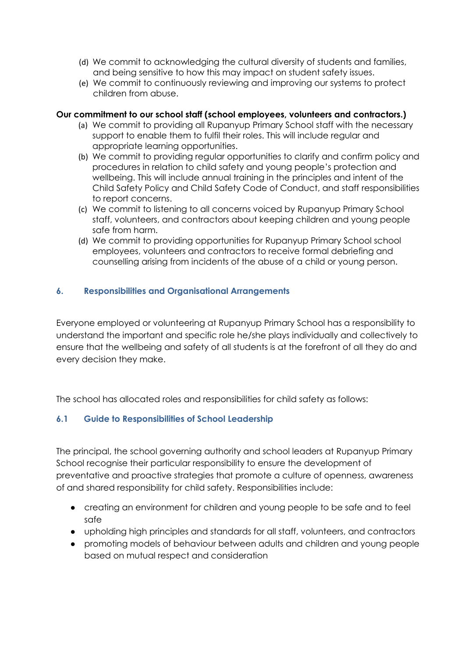- (d) We commit to acknowledging the cultural diversity of students and families, and being sensitive to how this may impact on student safety issues.
- (e) We commit to continuously reviewing and improving our systems to protect children from abuse.

#### **Our commitment to our school staff (school employees, volunteers and contractors.)**

- (a) We commit to providing all Rupanyup Primary School staff with the necessary support to enable them to fulfil their roles. This will include regular and appropriate learning opportunities.
- (b) We commit to providing regular opportunities to clarify and confirm policy and procedures in relation to child safety and young people's protection and wellbeing. This will include annual training in the principles and intent of the Child Safety Policy and Child Safety Code of Conduct, and staff responsibilities to report concerns.
- (c) We commit to listening to all concerns voiced by Rupanyup Primary School staff, volunteers, and contractors about keeping children and young people safe from harm.
- (d) We commit to providing opportunities for Rupanyup Primary School school employees, volunteers and contractors to receive formal debriefing and counselling arising from incidents of the abuse of a child or young person.

#### **6. Responsibilities and Organisational Arrangements**

Everyone employed or volunteering at Rupanyup Primary School has a responsibility to understand the important and specific role he/she plays individually and collectively to ensure that the wellbeing and safety of all students is at the forefront of all they do and every decision they make.

The school has allocated roles and responsibilities for child safety as follows:

# **6.1 Guide to Responsibilities of School Leadership**

The principal, the school governing authority and school leaders at Rupanyup Primary School recognise their particular responsibility to ensure the development of preventative and proactive strategies that promote a culture of openness, awareness of and shared responsibility for child safety. Responsibilities include:

- creating an environment for children and young people to be safe and to feel safe
- upholding high principles and standards for all staff, volunteers, and contractors
- promoting models of behaviour between adults and children and young people based on mutual respect and consideration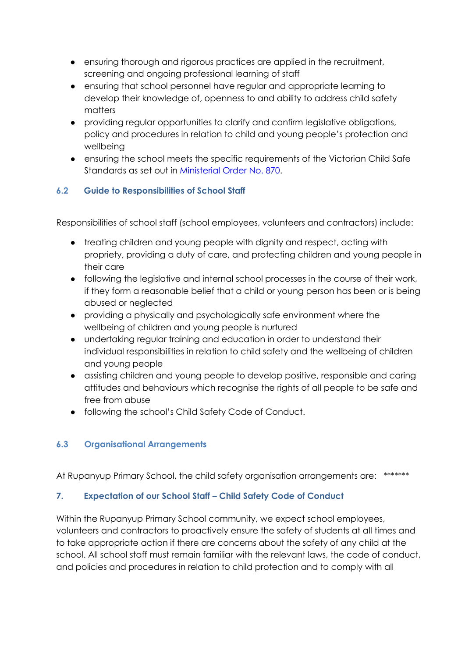- ensuring thorough and rigorous practices are applied in the recruitment, screening and ongoing professional learning of staff
- ensuring that school personnel have regular and appropriate learning to develop their knowledge of, openness to and ability to address child safety matters
- providing regular opportunities to clarify and confirm legislative obligations, policy and procedures in relation to child and young people's protection and wellbeing
- ensuring the school meets the specific requirements of the Victorian Child Safe Standards as set out in [Ministerial Order No. 870.](http://www.gazette.vic.gov.au/gazette/Gazettes2016/GG2016S002.pdf)

# **6.2 Guide to Responsibilities of School Staff**

Responsibilities of school staff (school employees, volunteers and contractors) include:

- treating children and young people with dignity and respect, acting with propriety, providing a duty of care, and protecting children and young people in their care
- following the legislative and internal school processes in the course of their work, if they form a reasonable belief that a child or young person has been or is being abused or neglected
- providing a physically and psychologically safe environment where the wellbeing of children and young people is nurtured
- undertaking regular training and education in order to understand their individual responsibilities in relation to child safety and the wellbeing of children and young people
- assisting children and young people to develop positive, responsible and caring attitudes and behaviours which recognise the rights of all people to be safe and free from abuse
- following the school's Child Safety Code of Conduct.

# **6.3 Organisational Arrangements**

At Rupanyup Primary School, the child safety organisation arrangements are: \*\*\*\*\*\*\*

# **7. Expectation of our School Staff – Child Safety Code of Conduct**

Within the Rupanyup Primary School community, we expect school employees, volunteers and contractors to proactively ensure the safety of students at all times and to take appropriate action if there are concerns about the safety of any child at the school. All school staff must remain familiar with the relevant laws, the code of conduct, and policies and procedures in relation to child protection and to comply with all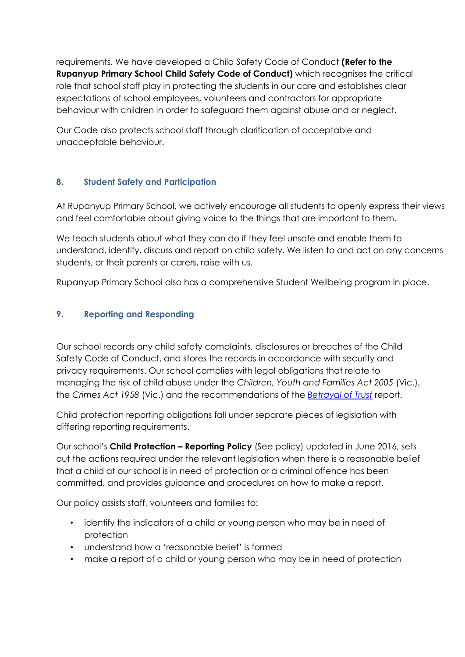requirements. We have developed a Child Safety Code of Conduct **(Refer to the Rupanyup Primary School Child Safety Code of Conduct)** which recognises the critical role that school staff play in protecting the students in our care and establishes clear expectations of school employees, volunteers and contractors for appropriate behaviour with children in order to safeguard them against abuse and or neglect.

Our Code also protects school staff through clarification of acceptable and unacceptable behaviour.

# **8. Student Safety and Participation**

At Rupanyup Primary School, we actively encourage all students to openly express their views and feel comfortable about giving voice to the things that are important to them.

We teach students about what they can do if they feel unsafe and enable them to understand, identify, discuss and report on child safety. We listen to and act on any concerns students, or their parents or carers, raise with us.

Rupanyup Primary School also has a comprehensive Student Wellbeing program in place.

# **9. Reporting and Responding**

Our school records any child safety complaints, disclosures or breaches of the Child Safety Code of Conduct, and stores the records in accordance with security and privacy requirements. Our school complies with legal obligations that relate to managing the risk of child abuse under the *Children, Youth and Families Act 2005* (Vic.), the *Crimes Act 1958* (Vic.) and the recommendations of the *[Betrayal of Trust](http://www.parliament.vic.gov.au/fcdc/article/1788)* report.

Child protection reporting obligations fall under separate pieces of legislation with differing reporting requirements.

Our school's **Child Protection – Reporting Policy** (See policy) updated in June 2016, sets out the actions required under the relevant legislation when there is a reasonable belief that a child at our school is in need of protection or a criminal offence has been committed, and provides guidance and procedures on how to make a report.

Our policy assists staff, volunteers and families to:

- identify the indicators of a child or young person who may be in need of protection
- understand how a 'reasonable belief' is formed
- make a report of a child or young person who may be in need of protection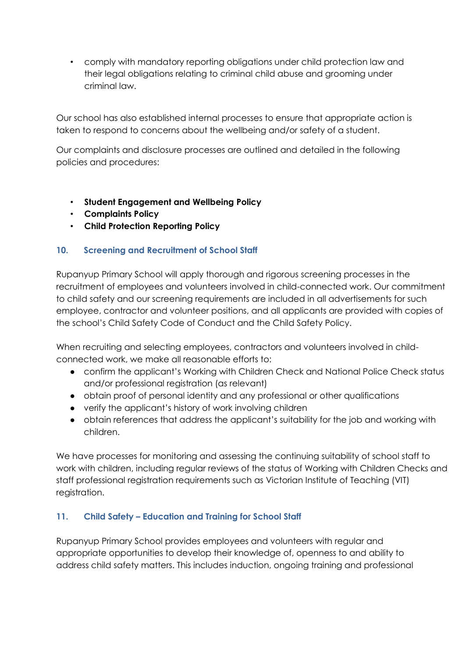• comply with mandatory reporting obligations under child protection law and their legal obligations relating to criminal child abuse and grooming under criminal law.

Our school has also established internal processes to ensure that appropriate action is taken to respond to concerns about the wellbeing and/or safety of a student.

Our complaints and disclosure processes are outlined and detailed in the following policies and procedures:

- **Student Engagement and Wellbeing Policy**
- **Complaints Policy**
- **Child Protection Reporting Policy**

# **10. Screening and Recruitment of School Staff**

Rupanyup Primary School will apply thorough and rigorous screening processes in the recruitment of employees and volunteers involved in child-connected work. Our commitment to child safety and our screening requirements are included in all advertisements for such employee, contractor and volunteer positions, and all applicants are provided with copies of the school's Child Safety Code of Conduct and the Child Safety Policy.

When recruiting and selecting employees, contractors and volunteers involved in childconnected work, we make all reasonable efforts to:

- confirm the applicant's Working with Children Check and National Police Check status and/or professional registration (as relevant)
- obtain proof of personal identity and any professional or other qualifications
- verify the applicant's history of work involving children
- obtain references that address the applicant's suitability for the job and working with children.

We have processes for monitoring and assessing the continuing suitability of school staff to work with children, including regular reviews of the status of Working with Children Checks and staff professional registration requirements such as Victorian Institute of Teaching (VIT) registration.

# **11. Child Safety – Education and Training for School Staff**

Rupanyup Primary School provides employees and volunteers with regular and appropriate opportunities to develop their knowledge of, openness to and ability to address child safety matters. This includes induction, ongoing training and professional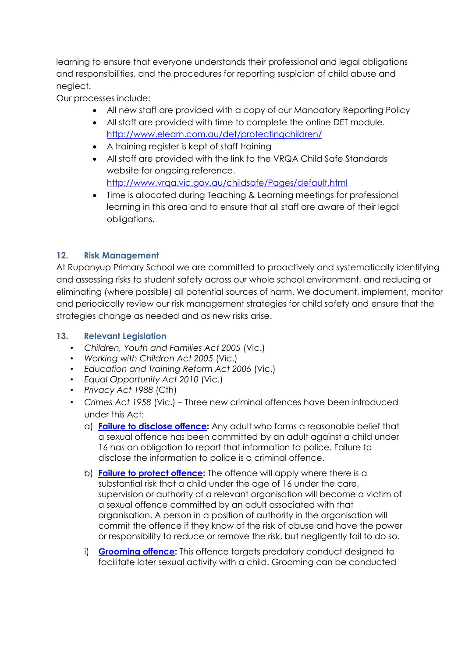learning to ensure that everyone understands their professional and legal obligations and responsibilities, and the procedures for reporting suspicion of child abuse and neglect.

Our processes include:

- All new staff are provided with a copy of our Mandatory Reporting Policy
- All staff are provided with time to complete the online DET module. <http://www.elearn.com.au/det/protectingchildren/>
- A training register is kept of staff training
- All staff are provided with the link to the VRQA Child Safe Standards website for ongoing reference. <http://www.vrqa.vic.gov.au/childsafe/Pages/default.html>
- Time is allocated during Teaching & Learning meetings for professional learning in this area and to ensure that all staff are aware of their legal obligations.

# **12. Risk Management**

At Rupanyup Primary School we are committed to proactively and systematically identifying and assessing risks to student safety across our whole school environment, and reducing or eliminating (where possible) all potential sources of harm. We document, implement, monitor and periodically review our risk management strategies for child safety and ensure that the strategies change as needed and as new risks arise.

#### **13. Relevant Legislation**

- *Children, Youth and Families Act 2005* (Vic.)
- *Working with Children Act 2005* (Vic.)
- *Education and Training Reform Act 2006* (Vic.)
- *Equal Opportunity Act 2010* (Vic.)
- *Privacy Act 1988* (Cth)
- *Crimes Act 1958* (Vic.) Three new criminal offences have been introduced under this Act:
	- a) **[Failure to disclose offence:](http://www.justice.vic.gov.au/home/safer%2Bcommunities/protecting%2Bchildren%2Band%2Bfamilies/failure%2Bto%2Bdisclose%2Boffence)** Any adult who forms a reasonable belief that a sexual offence has been committed by an adult against a child under 16 has an obligation to report that information to police. Failure to disclose the information to police is a criminal offence.
	- b) **[Failure to protect offence:](http://www.cecv.catholic.edu.au/http:/www.justice.vic.gov.au/home/safer%2Bcommunities/protecting%2Bchildren%2Band%2Bfamilies/failure%2Bto%2Bprotect%2Boffence)** The offence will apply where there is a substantial risk that a child under the age of 16 under the care, supervision or authority of a relevant organisation will become a victim of a sexual offence committed by an adult associated with that organisation. A person in a position of authority in the organisation will commit the offence if they know of the risk of abuse and have the power or responsibility to reduce or remove the risk, but negligently fail to do so.
	- i) **[Grooming offence:](http://www.justice.vic.gov.au/home/safer%2Bcommunities/protecting%2Bchildren%2Band%2Bfamilies/grooming%2Boffence)** This offence targets predatory conduct designed to facilitate later sexual activity with a child. Grooming can be conducted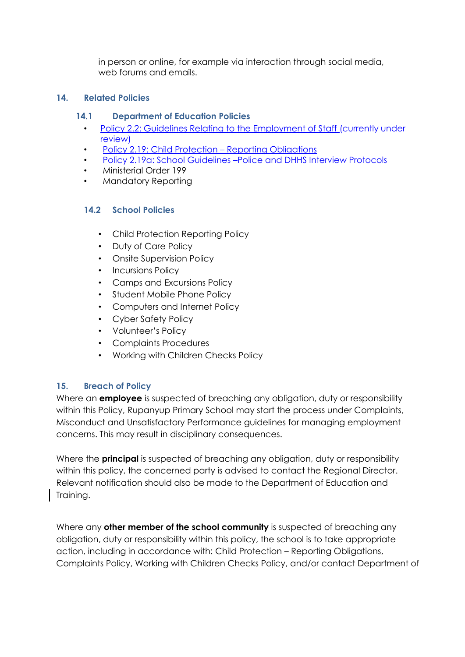in person or online, for example via interaction through social media, web forums and emails.

### **14. Related Policies**

#### **14.1 Department of Education Policies**

- [Policy 2.2: Guidelines Relating to the Employment of Staff](http://www.cem.edu.au/publications-policies/policy/policy-2.2-guidelines-employment-of-staff/) (currently under review)
- [Policy 2.19: Child Protection](http://www.cem.edu.au/publications-policies/policy/policy-2.19-child-protection-repoting-obligations/)  Reporting Obligation[s](http://www.cem.edu.au/publications-policies/policy/policy-2.19-child-protection-repoting-obligations/)
- Policy 2.19a: School Guidelines –[Police and DHHS Interview Protocols](http://www.cem.edu.au/publications-policies/policy/policy-2.19a-police-and-dhhs-interview-protocols/)
- Ministerial Order 199
- Mandatory Reporting

# **14.2 School Policies**

- Child Protection Reporting Policy
- Duty of Care Policy
- Onsite Supervision Policy
- Incursions Policy
- Camps and Excursions Policy
- Student Mobile Phone Policy
- Computers and Internet Policy
- Cyber Safety Policy
- Volunteer's Policy
- Complaints Procedures
- Working with Children Checks Policy

# **15. Breach of Policy**

Where an **employee** is suspected of breaching any obligation, duty or responsibility within this Policy, Rupanyup Primary School may start the process under Complaints, Misconduct and Unsatisfactory Performance guidelines for managing employment concerns. This may result in disciplinary consequences.

Where the **principal** is suspected of breaching any obligation, duty or responsibility within this policy, the concerned party is advised to contact the Regional Director. Relevant notification should also be made to the Department of Education and Training.

Where any **other member of the school community** is suspected of breaching any obligation, duty or responsibility within this policy, the school is to take appropriate action, including in accordance with: Child Protection – Reporting Obligations, Complaints Policy, Working with Children Checks Policy, and/or contact Department of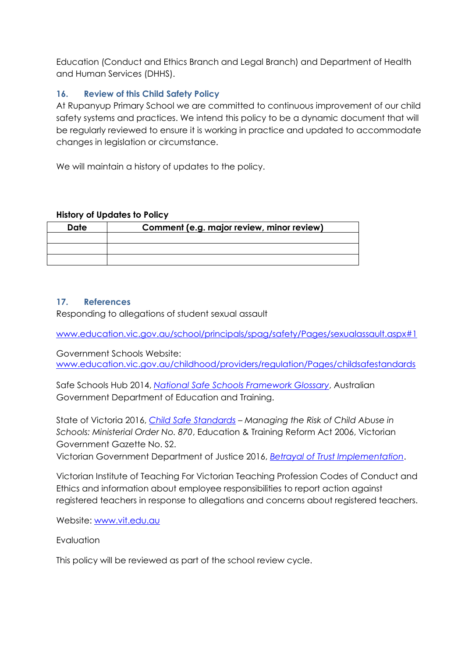Education (Conduct and Ethics Branch and Legal Branch) and Department of Health and Human Services (DHHS).

# **16. Review of this Child Safety Policy**

At Rupanyup Primary School we are committed to continuous improvement of our child safety systems and practices. We intend this policy to be a dynamic document that will be regularly reviewed to ensure it is working in practice and updated to accommodate changes in legislation or circumstance.

We will maintain a history of updates to the policy.

#### **History of Updates to Policy**

| <b>Date</b> | Comment (e.g. major review, minor review) |
|-------------|-------------------------------------------|
|             |                                           |
|             |                                           |
|             |                                           |
|             |                                           |

### **17. References**

Responding to allegations of student sexual assault

[www.education.vic.gov.au/school/principals/spag/safety/Pages/sexualassault.aspx#1](http://www.education.vic.gov.au/school/principals/spag/safety/Pages/sexualassault.aspx#1)

Government Schools Website: [www.education.vic.gov.au/childhood/providers/regulation/Pages/childsafestandards](http://www.education.vic.gov.au/childhood/providers/regulation/Pages/childsafestandards)

Safe Schools Hub 2014, *[National Safe Schools Framework Glossary](http://safeschoolshub.edu.au/resources-and-help/Glossary)*, Australian Government Department of Education and Training.

State of Victoria 2016, *[Child Safe Standards](http://www.gazette.vic.gov.au/gazette/Gazettes2016/GG2016S002.pdf) – Managing the Risk of Child Abuse in Schools: Ministerial Order No. 870*, Education & Training Reform Act 2006, Victorian Government Gazette No. S2.

Victorian Government Department of Justice 2016, *[Betrayal of Trust Implementation](http://www.justice.vic.gov.au/home/safer+communities/protecting+children+and+families/betrayal+of+trust+implementation)*.

Victorian Institute of Teaching For Victorian Teaching Profession Codes of Conduct and Ethics and information about employee responsibilities to report action against registered teachers in response to allegations and concerns about registered teachers.

Website: [www.vit.edu.au](http://www.vit.edu.au/)

**Evaluation** 

This policy will be reviewed as part of the school review cycle.